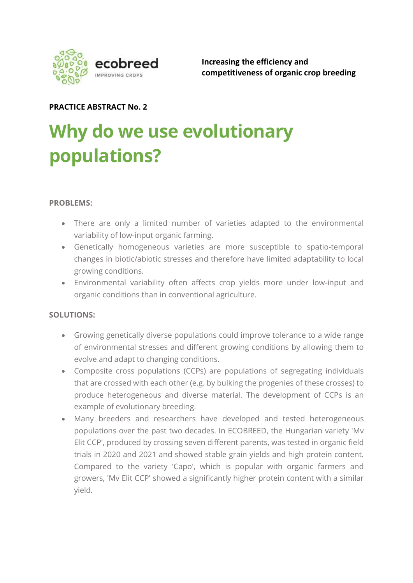

Increasing the efficiency and competitiveness of organic crop breeding

## PRACTICE ABSTRACT No. 2

# Why do we use evolutionary populations?

## PROBLEMS:

- There are only a limited number of varieties adapted to the environmental variability of low-input organic farming.
- Genetically homogeneous varieties are more susceptible to spatio-temporal changes in biotic/abiotic stresses and therefore have limited adaptability to local growing conditions.
- Environmental variability often affects crop yields more under low-input and organic conditions than in conventional agriculture.

### SOLUTIONS:

- Growing genetically diverse populations could improve tolerance to a wide range of environmental stresses and different growing conditions by allowing them to evolve and adapt to changing conditions.
- Composite cross populations (CCPs) are populations of segregating individuals that are crossed with each other (e.g. by bulking the progenies of these crosses) to produce heterogeneous and diverse material. The development of CCPs is an example of evolutionary breeding.
- Many breeders and researchers have developed and tested heterogeneous populations over the past two decades. In ECOBREED, the Hungarian variety 'Mv Elit CCP', produced by crossing seven different parents, was tested in organic field trials in 2020 and 2021 and showed stable grain yields and high protein content. Compared to the variety 'Capo', which is popular with organic farmers and growers, 'Mv Elit CCP' showed a significantly higher protein content with a similar yield.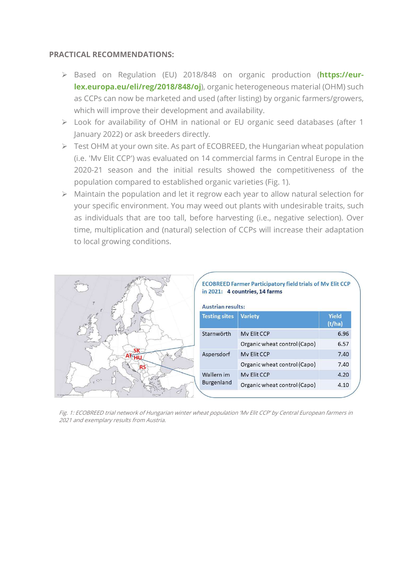#### PRACTICAL RECOMMENDATIONS:

- Based on Regulation (EU) 2018/848 on organic production (https://eurlex.europa.eu/eli/reg/2018/848/oj), organic heterogeneous material (OHM) such as CCPs can now be marketed and used (after listing) by organic farmers/growers, which will improve their development and availability.
- Look for availability of OHM in national or EU organic seed databases (after 1 January 2022) or ask breeders directly.
- Fest OHM at your own site. As part of ECOBREED, the Hungarian wheat population (i.e. 'Mv Elit CCP') was evaluated on 14 commercial farms in Central Europe in the 2020-21 season and the initial results showed the competitiveness of the population compared to established organic varieties (Fig. 1).
- $\triangleright$  Maintain the population and let it regrow each year to allow natural selection for your specific environment. You may weed out plants with undesirable traits, such as individuals that are too tall, before harvesting (i.e., negative selection). Over time, multiplication and (natural) selection of CCPs will increase their adaptation to local growing conditions.

| Shring                | <b>ECOBREED Farmer Participatory field trials of Mv Elit CCP</b><br>in 2021: 4 countries, 14 farms<br><b>Austrian results:</b> |                              |                 |
|-----------------------|--------------------------------------------------------------------------------------------------------------------------------|------------------------------|-----------------|
| FI                    | <b>Testing sites</b>                                                                                                           | <b>Variety</b>               | Yield<br>(t/ha) |
|                       | Starnwörth                                                                                                                     | My Elit CCP                  | 6.96            |
|                       |                                                                                                                                | Organic wheat control (Capo) | 6.57            |
|                       | Aspersdorf                                                                                                                     | My Elit CCP                  | 7.40            |
|                       |                                                                                                                                | Organic wheat control (Capo) | 7.40            |
|                       | Wallern im                                                                                                                     | <b>My Elit CCP</b>           | 4.20            |
| $\mathcal{O}^{\circ}$ | Burgenland                                                                                                                     | Organic wheat control (Capo) | 4.10            |
|                       |                                                                                                                                |                              |                 |

Fig. 1: ECOBREED trial network of Hungarian winter wheat population 'Mv Elit CCP' by Central European farmers in 2021 and exemplary results from Austria.